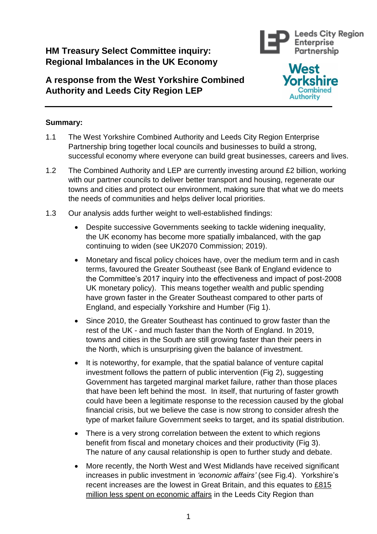# **HM Treasury Select Committee inquiry: Regional Imbalances in the UK Economy**

# **A response from the West Yorkshire Combined Authority and Leeds City Region LEP**





## **Summary:**

- 1.1 The West Yorkshire Combined Authority and Leeds City Region Enterprise Partnership bring together local councils and businesses to build a strong, successful economy where everyone can build great businesses, careers and lives.
- 1.2 The Combined Authority and LEP are currently investing around £2 billion, working with our partner councils to deliver better transport and housing, regenerate our towns and cities and protect our environment, making sure that what we do meets the needs of communities and helps deliver local priorities.
- 1.3 Our analysis adds further weight to well-established findings:
	- Despite successive Governments seeking to tackle widening inequality, the UK economy has become more spatially imbalanced, with the gap continuing to widen (see UK2070 Commission; 2019).
	- Monetary and fiscal policy choices have, over the medium term and in cash terms, favoured the Greater Southeast (see Bank of England evidence to the Committee's 2017 inquiry into the effectiveness and impact of post-2008 UK monetary policy). This means together wealth and public spending have grown faster in the Greater Southeast compared to other parts of England, and especially Yorkshire and Humber (Fig 1).
	- Since 2010, the Greater Southeast has continued to grow faster than the rest of the UK - and much faster than the North of England. In 2019, towns and cities in the South are still growing faster than their peers in the North, which is unsurprising given the balance of investment.
	- It is noteworthy, for example, that the spatial balance of venture capital investment follows the pattern of public intervention (Fig 2), suggesting Government has targeted marginal market failure, rather than those places that have been left behind the most. In itself, that nurturing of faster growth could have been a legitimate response to the recession caused by the global financial crisis, but we believe the case is now strong to consider afresh the type of market failure Government seeks to target, and its spatial distribution.
	- There is a very strong correlation between the extent to which regions benefit from fiscal and monetary choices and their productivity (Fig 3). The nature of any causal relationship is open to further study and debate.
	- More recently, the North West and West Midlands have received significant increases in public investment in *'economic affairs'* (see Fig.4). Yorkshire's recent increases are the lowest in Great Britain, and this equates to £815 million less spent on economic affairs in the Leeds City Region than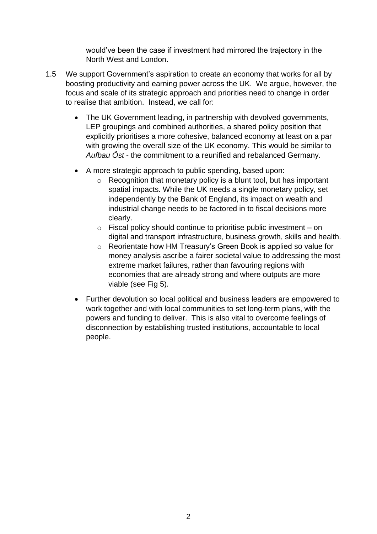would've been the case if investment had mirrored the trajectory in the North West and London.

- 1.5 We support Government's aspiration to create an economy that works for all by boosting productivity and earning power across the UK. We argue, however, the focus and scale of its strategic approach and priorities need to change in order to realise that ambition. Instead, we call for:
	- The UK Government leading, in partnership with devolved governments, LEP groupings and combined authorities, a shared policy position that explicitly prioritises a more cohesive, balanced economy at least on a par with growing the overall size of the UK economy. This would be similar to *Aufbau Öst* - the commitment to a reunified and rebalanced Germany.
	- A more strategic approach to public spending, based upon:
		- o Recognition that monetary policy is a blunt tool, but has important spatial impacts. While the UK needs a single monetary policy, set independently by the Bank of England, its impact on wealth and industrial change needs to be factored in to fiscal decisions more clearly.
		- $\circ$  Fiscal policy should continue to prioritise public investment on digital and transport infrastructure, business growth, skills and health.
		- o Reorientate how HM Treasury's Green Book is applied so value for money analysis ascribe a fairer societal value to addressing the most extreme market failures, rather than favouring regions with economies that are already strong and where outputs are more viable (see Fig 5).
	- Further devolution so local political and business leaders are empowered to work together and with local communities to set long-term plans, with the powers and funding to deliver. This is also vital to overcome feelings of disconnection by establishing trusted institutions, accountable to local people.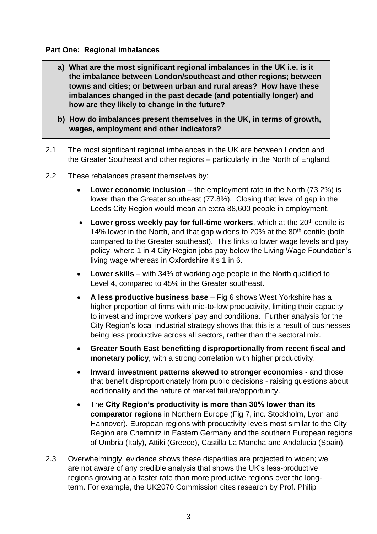#### **Part One: Regional imbalances**

- **a) What are the most significant regional imbalances in the UK i.e. is it the imbalance between London/southeast and other regions; between towns and cities; or between urban and rural areas? How have these imbalances changed in the past decade (and potentially longer) and how are they likely to change in the future?**
- **b) How do imbalances present themselves in the UK, in terms of growth, wages, employment and other indicators?**
- 2.1 The most significant regional imbalances in the UK are between London and the Greater Southeast and other regions – particularly in the North of England.
- 2.2 These rebalances present themselves by:
	- **Lower economic inclusion** the employment rate in the North (73.2%) is lower than the Greater southeast (77.8%). Closing that level of gap in the Leeds City Region would mean an extra 88,600 people in employment.
	- Lower gross weekly pay for full-time workers, which at the 20<sup>th</sup> centile is 14% lower in the North, and that gap widens to 20% at the 80<sup>th</sup> centile (both compared to the Greater southeast). This links to lower wage levels and pay policy, where 1 in 4 City Region jobs pay below the Living Wage Foundation's living wage whereas in Oxfordshire it's 1 in 6.
	- **Lower skills**  with 34% of working age people in the North qualified to Level 4, compared to 45% in the Greater southeast.
	- **A less productive business base**  Fig 6 shows West Yorkshire has a higher proportion of firms with mid-to-low productivity, limiting their capacity to invest and improve workers' pay and conditions. Further analysis for the City Region's local industrial strategy shows that this is a result of businesses being less productive across all sectors, rather than the sectoral mix.
	- **Greater South East benefitting disproportionally from recent fiscal and monetary policy**, with a strong correlation with higher productivity.
	- **Inward investment patterns skewed to stronger economies** and those that benefit disproportionately from public decisions - raising questions about additionality and the nature of market failure/opportunity.
	- The **City Region's productivity is more than 30% lower than its comparator regions** in Northern Europe (Fig 7, inc. Stockholm, Lyon and Hannover). European regions with productivity levels most similar to the City Region are Chemnitz in Eastern Germany and the southern European regions of Umbria (Italy), Attiki (Greece), Castilla La Mancha and Andalucia (Spain).
- 2.3 Overwhelmingly, evidence shows these disparities are projected to widen; we are not aware of any credible analysis that shows the UK's less-productive regions growing at a faster rate than more productive regions over the longterm. For example, the UK2070 Commission cites research by Prof. Philip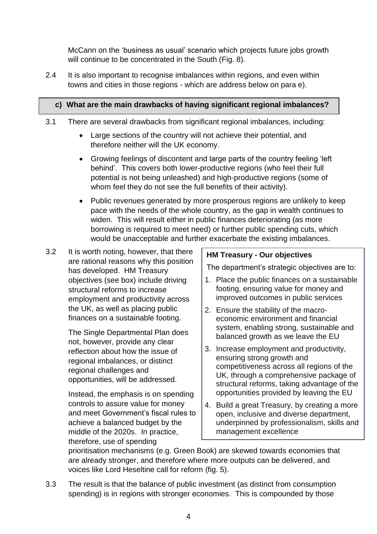McCann on the 'business as usual' scenario which projects future jobs growth will continue to be concentrated in the South (Fig. 8).

2.4 It is also important to recognise imbalances within regions, and even within towns and cities in those regions - which are address below on para e).

# **c) What are the main drawbacks of having significant regional imbalances?**

- 3.1 There are several drawbacks from significant regional imbalances, including:
	- Large sections of the country will not achieve their potential, and therefore neither will the UK economy.
	- Growing feelings of discontent and large parts of the country feeling 'left behind'. This covers both lower-productive regions (who feel their full potential is not being unleashed) and high-productive regions (some of whom feel they do not see the full benefits of their activity).
	- Public revenues generated by more prosperous regions are unlikely to keep pace with the needs of the whole country, as the gap in wealth continues to widen. This will result either in public finances deteriorating (as more borrowing is required to meet need) or further public spending cuts, which would be unacceptable and further exacerbate the existing imbalances.
- 3.2 It is worth noting, however, that there are rational reasons why this position has developed. HM Treasury objectives (see box) include driving structural reforms to increase employment and productivity across the UK, as well as placing public finances on a sustainable footing.

The Single Departmental Plan does not, however, provide any clear reflection about how the issue of regional imbalances, or distinct regional challenges and opportunities, will be addressed.

Instead, the emphasis is on spending controls to assure value for money and meet Government's fiscal rules to achieve a balanced budget by the middle of the 2020s. In practice, therefore, use of spending

## **HM Treasury - Our objectives**

The department's strategic objectives are to:

- 1. Place the public finances on a sustainable footing, ensuring value for money and improved outcomes in public services
- 2. Ensure the stability of the macroeconomic environment and financial system, enabling strong, sustainable and balanced growth as we leave the EU
- 3. Increase employment and productivity, ensuring strong growth and competitiveness across all regions of the UK, through a comprehensive package of structural reforms, taking advantage of the opportunities provided by leaving the EU
- 4. Build a great Treasury, by creating a more open, inclusive and diverse department, underpinned by professionalism, skills and management excellence

prioritisation mechanisms (e.g. Green Book) are skewed towards economies that are already stronger, and therefore where more outputs can be delivered, and voices like Lord Heseltine call for reform (fig. 5).

3.3 The result is that the balance of public investment (as distinct from consumption spending) is in regions with stronger economies. This is compounded by those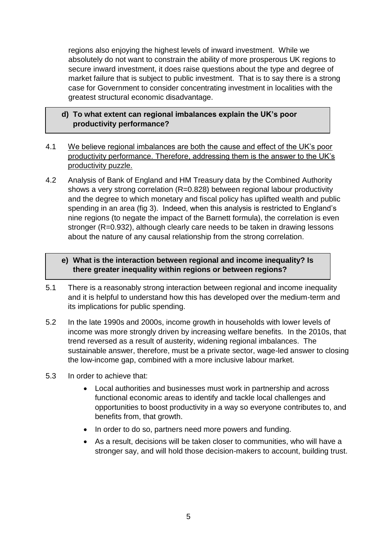regions also enjoying the highest levels of inward investment. While we absolutely do not want to constrain the ability of more prosperous UK regions to secure inward investment, it does raise questions about the type and degree of market failure that is subject to public investment. That is to say there is a strong case for Government to consider concentrating investment in localities with the greatest structural economic disadvantage.

### **d) To what extent can regional imbalances explain the UK's poor productivity performance?**

- 4.1 We believe regional imbalances are both the cause and effect of the UK's poor productivity performance. Therefore, addressing them is the answer to the UK's productivity puzzle.
- 4.2 Analysis of Bank of England and HM Treasury data by the Combined Authority shows a very strong correlation (R=0.828) between regional labour productivity and the degree to which monetary and fiscal policy has uplifted wealth and public spending in an area (fig 3). Indeed, when this analysis is restricted to England's nine regions (to negate the impact of the Barnett formula), the correlation is even stronger (R=0.932), although clearly care needs to be taken in drawing lessons about the nature of any causal relationship from the strong correlation.

### **e) What is the interaction between regional and income inequality? Is there greater inequality within regions or between regions?**

- 5.1 There is a reasonably strong interaction between regional and income inequality and it is helpful to understand how this has developed over the medium-term and its implications for public spending.
- 5.2 In the late 1990s and 2000s, income growth in households with lower levels of income was more strongly driven by increasing welfare benefits. In the 2010s, that trend reversed as a result of austerity, widening regional imbalances. The sustainable answer, therefore, must be a private sector, wage-led answer to closing the low-income gap, combined with a more inclusive labour market.
- 5.3 In order to achieve that:
	- Local authorities and businesses must work in partnership and across functional economic areas to identify and tackle local challenges and opportunities to boost productivity in a way so everyone contributes to, and benefits from, that growth.
	- In order to do so, partners need more powers and funding.
	- As a result, decisions will be taken closer to communities, who will have a stronger say, and will hold those decision-makers to account, building trust.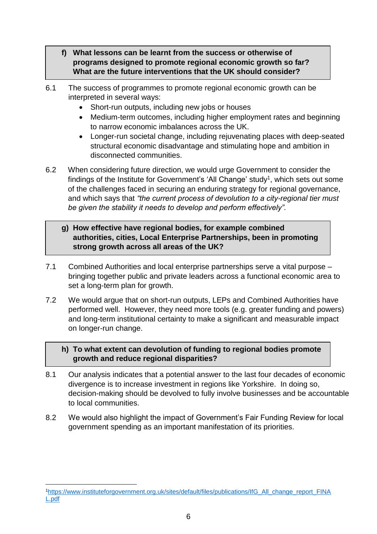- **f) What lessons can be learnt from the success or otherwise of programs designed to promote regional economic growth so far? What are the future interventions that the UK should consider?**
- 6.1 The success of programmes to promote regional economic growth can be interpreted in several ways:
	- Short-run outputs, including new jobs or houses
	- Medium-term outcomes, including higher employment rates and beginning to narrow economic imbalances across the UK.
	- Longer-run societal change, including rejuvenating places with deep-seated structural economic disadvantage and stimulating hope and ambition in disconnected communities.
- 6.2 When considering future direction, we would urge Government to consider the findings of the Institute for Government's 'All Change' study<sup>1</sup>, which sets out some of the challenges faced in securing an enduring strategy for regional governance, and which says that *"the current process of devolution to a city-regional tier must be given the stability it needs to develop and perform effectively".*

## **g) How effective have regional bodies, for example combined authorities, cities, Local Enterprise Partnerships, been in promoting strong growth across all areas of the UK?**

- 7.1 Combined Authorities and local enterprise partnerships serve a vital purpose bringing together public and private leaders across a functional economic area to set a long-term plan for growth.
- 7.2 We would argue that on short-run outputs, LEPs and Combined Authorities have performed well. However, they need more tools (e.g. greater funding and powers) and long-term institutional certainty to make a significant and measurable impact on longer-run change.

## **h) To what extent can devolution of funding to regional bodies promote growth and reduce regional disparities?**

- 8.1 Our analysis indicates that a potential answer to the last four decades of economic divergence is to increase investment in regions like Yorkshire. In doing so, decision-making should be devolved to fully involve businesses and be accountable to local communities.
- 8.2 We would also highlight the impact of Government's Fair Funding Review for local government spending as an important manifestation of its priorities.

<sup>1</sup> <sup>1</sup>[https://www.instituteforgovernment.org.uk/sites/default/files/publications/IfG\\_All\\_change\\_report\\_FINA](https://www.instituteforgovernment.org.uk/sites/default/files/publications/IfG_All_change_report_FINAL.pdf) [L.pdf](https://www.instituteforgovernment.org.uk/sites/default/files/publications/IfG_All_change_report_FINAL.pdf)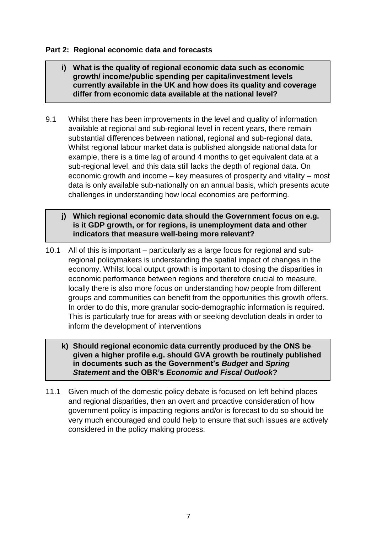#### **Part 2: Regional economic data and forecasts**

- **i) What is the quality of regional economic data such as economic growth/ income/public spending per capita/investment levels currently available in the UK and how does its quality and coverage differ from economic data available at the national level?**
- 9.1 Whilst there has been improvements in the level and quality of information available at regional and sub-regional level in recent years, there remain substantial differences between national, regional and sub-regional data. Whilst regional labour market data is published alongside national data for example, there is a time lag of around 4 months to get equivalent data at a sub-regional level, and this data still lacks the depth of regional data. On economic growth and income – key measures of prosperity and vitality – most data is only available sub-nationally on an annual basis, which presents acute challenges in understanding how local economies are performing.
	- **j) Which regional economic data should the Government focus on e.g. is it GDP growth, or for regions, is unemployment data and other indicators that measure well-being more relevant?**
- 10.1 All of this is important particularly as a large focus for regional and subregional policymakers is understanding the spatial impact of changes in the economy. Whilst local output growth is important to closing the disparities in economic performance between regions and therefore crucial to measure, locally there is also more focus on understanding how people from different groups and communities can benefit from the opportunities this growth offers. In order to do this, more granular socio-demographic information is required. This is particularly true for areas with or seeking devolution deals in order to inform the development of interventions
	- **k) Should regional economic data currently produced by the ONS be given a higher profile e.g. should GVA growth be routinely published in documents such as the Government's** *Budget* **and** *Spring Statement* **and the OBR's** *Economic and Fiscal Outlook***?**
- 11.1 Given much of the domestic policy debate is focused on left behind places and regional disparities, then an overt and proactive consideration of how government policy is impacting regions and/or is forecast to do so should be very much encouraged and could help to ensure that such issues are actively considered in the policy making process.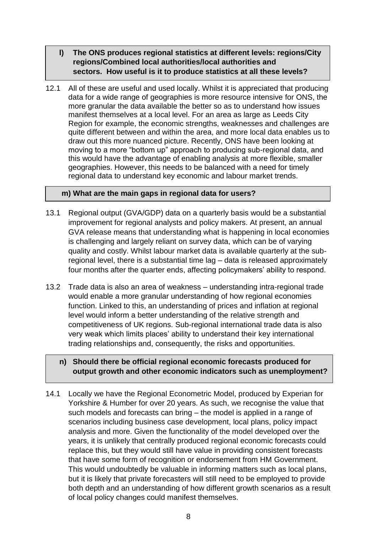- **l) The ONS produces regional statistics at different levels: regions/City regions/Combined local authorities/local authorities and sectors. How useful is it to produce statistics at all these levels?**
- 12.1 All of these are useful and used locally. Whilst it is appreciated that producing data for a wide range of geographies is more resource intensive for ONS, the more granular the data available the better so as to understand how issues manifest themselves at a local level. For an area as large as Leeds City Region for example, the economic strengths, weaknesses and challenges are quite different between and within the area, and more local data enables us to draw out this more nuanced picture. Recently, ONS have been looking at moving to a more "bottom up" approach to producing sub-regional data, and this would have the advantage of enabling analysis at more flexible, smaller geographies. However, this needs to be balanced with a need for timely regional data to understand key economic and labour market trends.

#### **m) What are the main gaps in regional data for users?**

- 13.1 Regional output (GVA/GDP) data on a quarterly basis would be a substantial improvement for regional analysts and policy makers. At present, an annual GVA release means that understanding what is happening in local economies is challenging and largely reliant on survey data, which can be of varying quality and costly. Whilst labour market data is available quarterly at the subregional level, there is a substantial time lag – data is released approximately four months after the quarter ends, affecting policymakers' ability to respond.
- 13.2 Trade data is also an area of weakness understanding intra-regional trade would enable a more granular understanding of how regional economies function. Linked to this, an understanding of prices and inflation at regional level would inform a better understanding of the relative strength and competitiveness of UK regions. Sub-regional international trade data is also very weak which limits places' ability to understand their key international trading relationships and, consequently, the risks and opportunities.

#### **n) Should there be official regional economic forecasts produced for output growth and other economic indicators such as unemployment?**

14.1 Locally we have the Regional Econometric Model, produced by Experian for Yorkshire & Humber for over 20 years. As such, we recognise the value that such models and forecasts can bring – the model is applied in a range of scenarios including business case development, local plans, policy impact analysis and more. Given the functionality of the model developed over the years, it is unlikely that centrally produced regional economic forecasts could replace this, but they would still have value in providing consistent forecasts that have some form of recognition or endorsement from HM Government. This would undoubtedly be valuable in informing matters such as local plans, but it is likely that private forecasters will still need to be employed to provide both depth and an understanding of how different growth scenarios as a result of local policy changes could manifest themselves.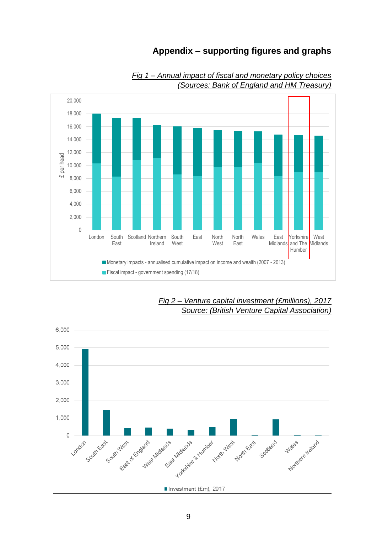# **Appendix – supporting figures and graphs**



*Fig 1 – Annual impact of fiscal and monetary policy choices (Sources: Bank of England and HM Treasury)* 



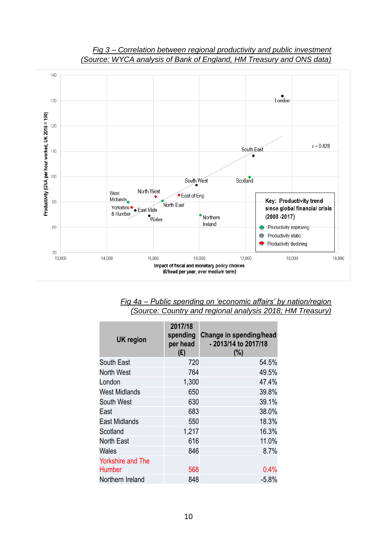

#### *Fig 3 – Correlation between regional productivity and public investment (Source: WYCA analysis of Bank of England, HM Treasury and ONS data)*

*Fig 4a – Public spending on 'economic affairs' by nation/region (Source: Country and regional analysis 2018; HM Treasury)*

| <b>UK region</b>                          | 2017/18<br>spending<br>per head<br>(E) | Change in spending/head<br>- 2013/14 to 2017/18<br>(% ) |
|-------------------------------------------|----------------------------------------|---------------------------------------------------------|
| South East                                | 720                                    | 54.5%                                                   |
| North West                                | 764                                    | 49.5%                                                   |
| London                                    | 1,300                                  | 47.4%                                                   |
| <b>West Midlands</b>                      | 650                                    | 39.8%                                                   |
| South West                                | 630                                    | 39.1%                                                   |
| East                                      | 683                                    | 38.0%                                                   |
| <b>East Midlands</b>                      | 550                                    | 18.3%                                                   |
| Scotland                                  | 1,217                                  | 16.3%                                                   |
| North East                                | 616                                    | 11.0%                                                   |
| Wales                                     | 846                                    | 8.7%                                                    |
| <b>Yorkshire and The</b><br><b>Humber</b> | 568                                    | 0.4%                                                    |
| Northern Ireland                          | 848                                    | $-5.8%$                                                 |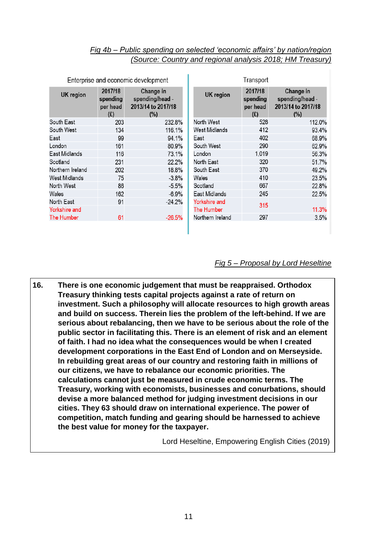#### *Fig 4b – Public spending on selected 'economic affairs' by nation/region (Source: Country and regional analysis 2018; HM Treasury)*

| Enterprise and economic development |                                        | Transport                                                    |                  |                                        |                                                           |
|-------------------------------------|----------------------------------------|--------------------------------------------------------------|------------------|----------------------------------------|-----------------------------------------------------------|
| <b>UK</b> region                    | 2017/18<br>spending<br>per head<br>(E) | Change in<br>spending/head -<br>2013/14 to 2017/18<br>$(\%)$ | <b>UK</b> region | 2017/18<br>spending<br>per head<br>(E) | Change in<br>spending/head -<br>2013/14 to 2017/18<br>(%) |
| South East                          | 203                                    | 232.8%                                                       | North West       | 528                                    | 112.0%                                                    |
| South West                          | 134                                    | 116.1%                                                       | West Midlands    | 412                                    | 93.4%                                                     |
| East                                | 99                                     | 94.1%                                                        | East             | 402                                    | 68.9%                                                     |
| London                              | 161                                    | 80.9%                                                        | South West       | 290                                    | 62.9%                                                     |
| East Midlands                       | 116                                    | 73.1%                                                        | London           | 1,019                                  | 56.3%                                                     |
| Scotland                            | 231                                    | 22.2%                                                        | North East       | 320                                    | 51.7%                                                     |
| Northern Ireland                    | 202                                    | 18.8%                                                        | South East       | 370                                    | 49.2%                                                     |
| West Midlands                       | 75                                     | $-3.8%$                                                      | Wales            | 410                                    | 23.5%                                                     |
| North West                          | 86                                     | $-5.5%$                                                      | Scotland         | 667                                    | 22.8%                                                     |
| Wales                               | 162                                    | $-6.9%$                                                      | East Midlands    | 245                                    | 22.5%                                                     |
| North East                          | 91                                     | $-24.2%$                                                     | Yorkshire and    | 315                                    |                                                           |
| <b>Yorkshire and</b>                |                                        |                                                              | The Humber       |                                        | 11.3%                                                     |
| The Humber                          | 61                                     | $-26.5%$                                                     | Northern Ireland | 297                                    | 3.5%                                                      |
|                                     |                                        |                                                              |                  |                                        |                                                           |

ı

#### *Fig 5 – Proposal by Lord Heseltine*

 **16. There is one economic judgement that must be reappraised. Orthodox Treasury thinking tests capital projects against a rate of return on investment. Such a philosophy will allocate resources to high growth areas and build on success. Therein lies the problem of the left-behind. If we are serious about rebalancing, then we have to be serious about the role of the public sector in facilitating this. There is an element of risk and an element of faith. I had no idea what the consequences would be when I created development corporations in the East End of London and on Merseyside. In rebuilding great areas of our country and restoring faith in millions of our citizens, we have to rebalance our economic priorities. The calculations cannot just be measured in crude economic terms. The Treasury, working with economists, businesses and conurbations, should devise a more balanced method for judging investment decisions in our cities. They 63 should draw on international experience. The power of competition, match funding and gearing should be harnessed to achieve the best value for money for the taxpayer.** 

Lord Heseltine, Empowering English Cities (2019)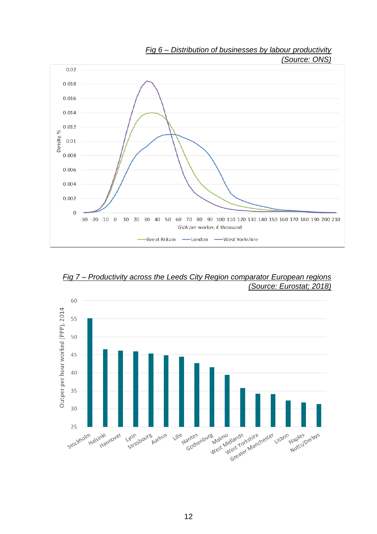

*Fig 7 – Productivity across the Leeds City Region comparator European regions (Source: Eurostat; 2018)*